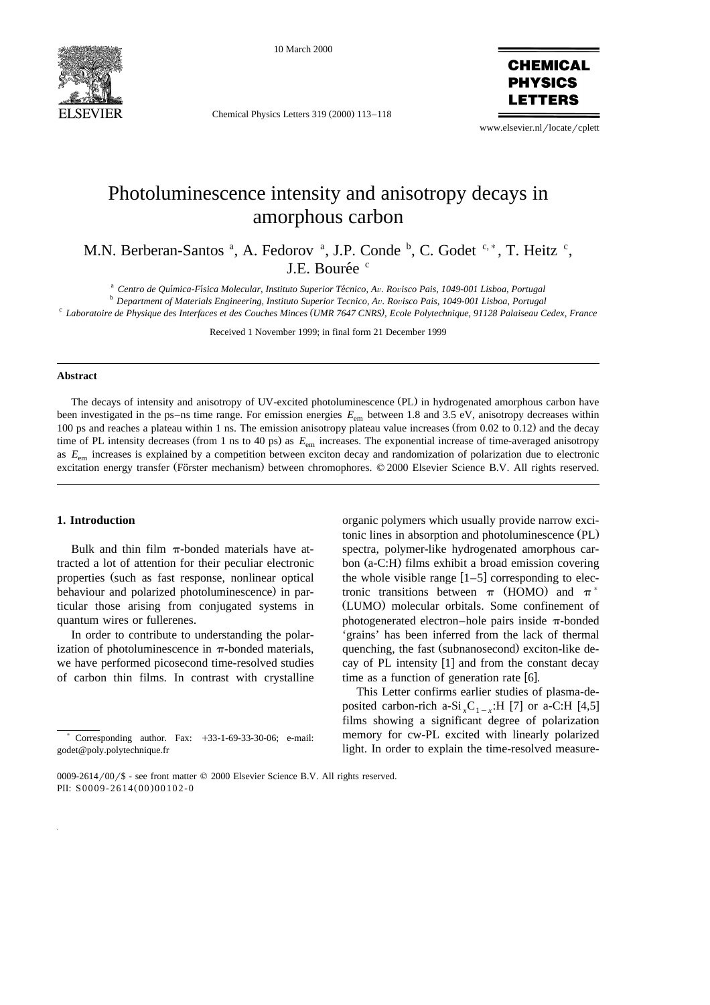

10 March 2000

Chemical Physics Letters 319 (2000) 113-118

**CHEMICAL PHYSICS** FTTFRS

www.elsevier.nl/locate/cplett

# Photoluminescence intensity and anisotropy decays in amorphous carbon

M.N. Berberan-Santos <sup>a</sup>, A. Fedorov <sup>a</sup>, J.P. Conde <sup>b</sup>, C. Godet <sup>c,\*</sup>, T. Heitz <sup>c</sup>, J.E. Bourée<sup>c</sup>

<sup>a</sup> Centro de Química-Física Molecular, Instituto Superior Técnico, Av. Rovisco Pais, 1049-001 Lisboa, Portugal<br><sup>b</sup> Department of Materials Engineering, Instituto Superior Tecnico, Av. Rovisco Pais, 1049-001 Lisboa, Portug

Received 1 November 1999; in final form 21 December 1999

#### **Abstract**

The decays of intensity and anisotropy of UV-excited photoluminescence (PL) in hydrogenated amorphous carbon have been investigated in the ps–ns time range. For emission energies  $E_{\text{em}}$  between 1.8 and 3.5 eV, anisotropy decreases within 100 ps and reaches a plateau within 1 ns. The emission anisotropy plateau value increases (from  $0.02$  to  $0.12$ ) and the decay time of PL intensity decreases (from 1 ns to 40 ps) as  $E_{em}$  increases. The exponential increase of time-averaged anisotropy as  $E_{\text{em}}$  increases is explained by a competition between exciton decay and randomization of polarization due to electronic excitation energy transfer (Förster mechanism) between chromophores. © 2000 Elsevier Science B.V. All rights reserved.

#### **1. Introduction**

Bulk and thin film  $\pi$ -bonded materials have attracted a lot of attention for their peculiar electronic properties (such as fast response, nonlinear optical behaviour and polarized photoluminescence) in particular those arising from conjugated systems in quantum wires or fullerenes.

In order to contribute to understanding the polarization of photoluminescence in  $\pi$ -bonded materials, we have performed picosecond time-resolved studies of carbon thin films. In contrast with crystalline

organic polymers which usually provide narrow excitonic lines in absorption and photoluminescence (PL) spectra, polymer-like hydrogenated amorphous carbon  $(a-C:H)$  films exhibit a broad emission covering the whole visible range  $[1-5]$  corresponding to electronic transitions between  $\pi$  (HOMO) and  $\pi^*$ (LUMO) molecular orbitals. Some confinement of photogenerated electron–hole pairs inside  $\pi$ -bonded 'grains' has been inferred from the lack of thermal quenching, the fast (subnanosecond) exciton-like decay of PL intensity  $[1]$  and from the constant decay time as a function of generation rate  $[6]$ .

This Letter confirms earlier studies of plasma-deposited carbon-rich a-Si<sub>x</sub>C<sub>1-x</sub>:H [7] or a-C:H [4,5] films showing a significant degree of polarization memory for cw-PL excited with linearly polarized light. In order to explain the time-resolved measure-

<sup>)</sup> Corresponding author. Fax: q33-1-69-33-30-06; e-mail: godet@poly.polytechnique.fr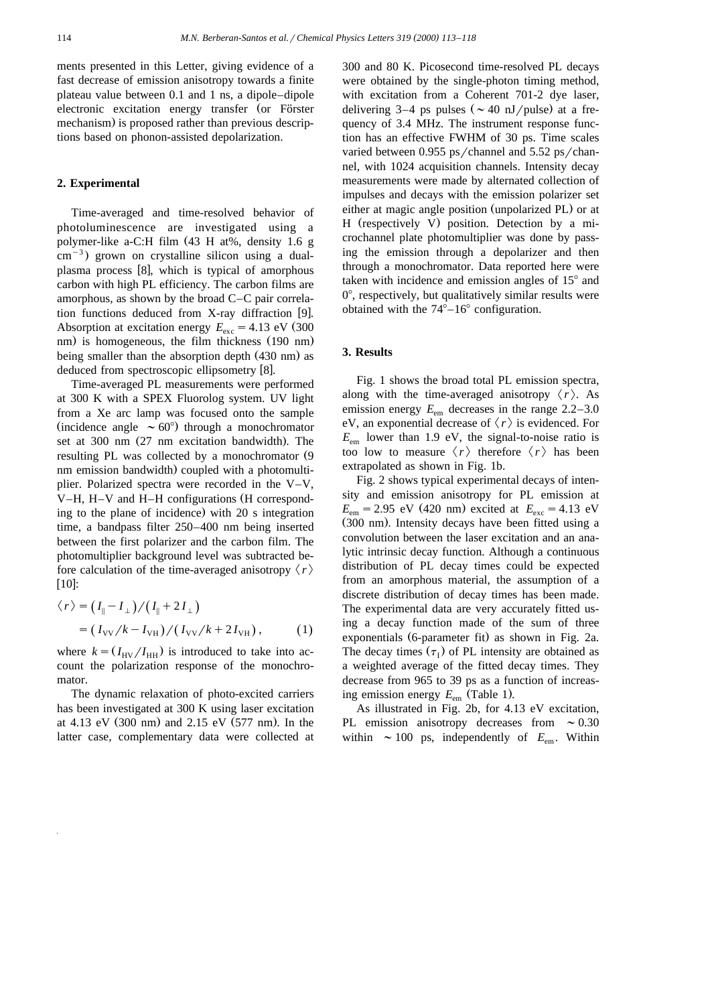ments presented in this Letter, giving evidence of a fast decrease of emission anisotropy towards a finite plateau value between 0.1 and 1 ns, a dipole–dipole electronic excitation energy transfer (or Förster mechanism) is proposed rather than previous descriptions based on phonon-assisted depolarization.

### **2. Experimental**

Time-averaged and time-resolved behavior of photoluminescence are investigated using a polymer-like a-C:H film (43 H at%, density 1.6 g  $\text{cm}^{-3}$ ) grown on crystalline silicon using a dualplasma process [8], which is typical of amorphous carbon with high PL efficiency. The carbon films are amorphous, as shown by the broad C–C pair correlation functions deduced from  $X$ -ray diffraction [9]. Absorption at excitation energy  $E_{\text{exc}} = 4.13 \text{ eV}$  (300 nm) is homogeneous, the film thickness  $(190 \text{ nm})$ being smaller than the absorption depth (430 nm) as deduced from spectroscopic ellipsometry [8].

Time-averaged PL measurements were performed at 300 K with a SPEX Fluorolog system. UV light from a Xe arc lamp was focused onto the sample (incidence angle  $\sim 60^{\circ}$ ) through a monochromator set at 300 nm (27 nm excitation bandwidth). The resulting PL was collected by a monochromator (9 nm emission bandwidth) coupled with a photomultiplier. Polarized spectra were recorded in the V–V, V–H, H–V and H–H configurations (H corresponding to the plane of incidence) with 20 s integration time, a bandpass filter 250–400 nm being inserted between the first polarizer and the carbon film. The photomultiplier background level was subtracted before calculation of the time-averaged anisotropy  $\langle r \rangle$  $[10]$ :

$$
\langle r \rangle = (I_{\parallel} - I_{\perp}) / (I_{\parallel} + 2I_{\perp})
$$
  
=  $(I_{\text{VV}}/k - I_{\text{VH}}) / (I_{\text{VV}}/k + 2I_{\text{VH}}),$  (1)

where  $k = (I_{\text{HV}}/I_{\text{HH}})$  is introduced to take into account the polarization response of the monochromator.

The dynamic relaxation of photo-excited carriers has been investigated at 300 K using laser excitation at 4.13 eV  $(300 \text{ nm})$  and 2.15 eV  $(577 \text{ nm})$ . In the latter case, complementary data were collected at

300 and 80 K. Picosecond time-resolved PL decays were obtained by the single-photon timing method, with excitation from a Coherent 701-2 dye laser, delivering 3–4 ps pulses ( $\sim$  40 nJ/pulse) at a frequency of 3.4 MHz. The instrument response function has an effective FWHM of 30 ps. Time scales varied between  $0.955$  ps/channel and  $5.52$  ps/channel, with 1024 acquisition channels. Intensity decay measurements were made by alternated collection of impulses and decays with the emission polarizer set either at magic angle position (unpolarized PL) or at H (respectively V) position. Detection by a microchannel plate photomultiplier was done by passing the emission through a depolarizer and then through a monochromator. Data reported here were taken with incidence and emission angles of  $15^{\circ}$  and  $0^\circ$ , respectively, but qualitatively similar results were obtained with the  $74^{\circ}-16^{\circ}$  configuration.

## **3. Results**

Fig. 1 shows the broad total PL emission spectra, along with the time-averaged anisotropy  $\langle r \rangle$ . As emission energy  $E_{\text{em}}$  decreases in the range  $2.2-3.0$ eV, an exponential decrease of  $\langle r \rangle$  is evidenced. For  $E_{\text{em}}$  lower than 1.9 eV, the signal-to-noise ratio is too low to measure  $\langle r \rangle$  therefore  $\langle r \rangle$  has been extrapolated as shown in Fig. 1b.

Fig. 2 shows typical experimental decays of intensity and emission anisotropy for PL emission at  $E_{\text{em}} = 2.95 \text{ eV}$  (420 nm) excited at  $E_{\text{exc}} = 4.13 \text{ eV}$ (300 nm). Intensity decays have been fitted using a convolution between the laser excitation and an analytic intrinsic decay function. Although a continuous distribution of PL decay times could be expected from an amorphous material, the assumption of a discrete distribution of decay times has been made. The experimental data are very accurately fitted using a decay function made of the sum of three exponentials  $(6$ -parameter fit) as shown in Fig. 2a. The decay times  $(\tau_1)$  of PL intensity are obtained as a weighted average of the fitted decay times. They decrease from 965 to 39 ps as a function of increasing emission energy  $E_{em}$  (Table 1).

As illustrated in Fig. 2b, for 4.13 eV excitation, PL emission anisotropy decreases from  $\sim 0.30$ within  $\sim 100$  ps, independently of  $E_{\text{em}}$ . Within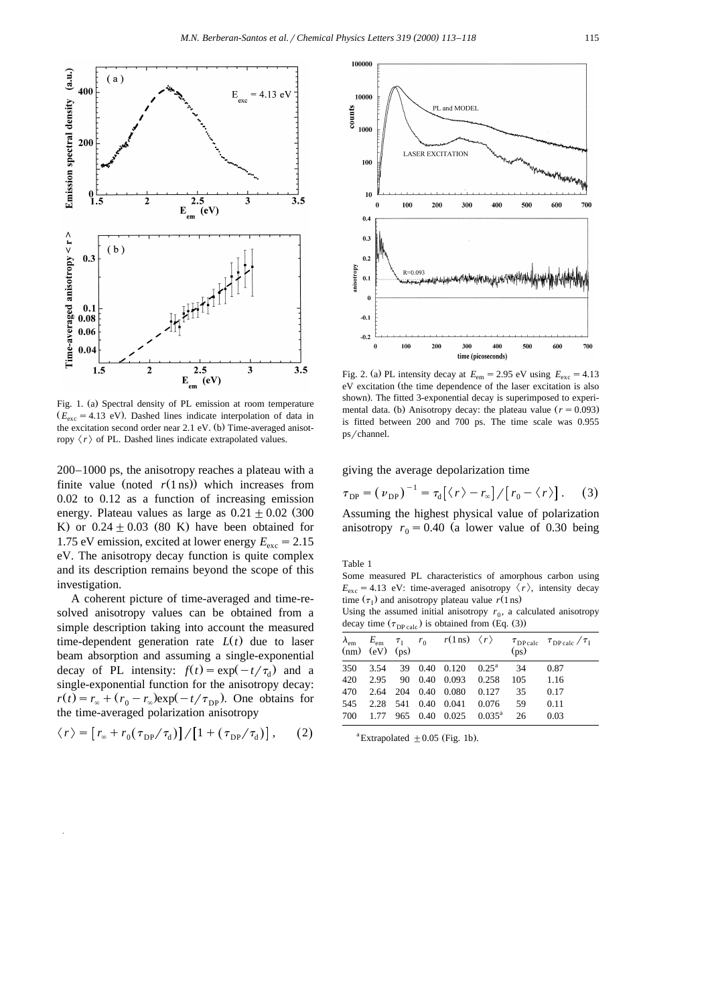

Fig. 1. (a) Spectral density of PL emission at room temperature  $(E_{\text{exc}} = 4.13 \text{ eV})$ . Dashed lines indicate interpolation of data in the excitation second order near  $2.1 \text{ eV}$ . (b) Time-averaged anisotropy  $\langle r \rangle$  of PL. Dashed lines indicate extrapolated values.

200–1000 ps, the anisotropy reaches a plateau with a finite value (noted  $r(1 \text{ ns})$ ) which increases from 0.02 to 0.12 as a function of increasing emission energy. Plateau values as large as  $0.21 \pm 0.02$  (300 K) or  $0.24 \pm 0.03$  (80 K) have been obtained for 1.75 eV emission, excited at lower energy  $E_{\text{exc}} = 2.15$ eV. The anisotropy decay function is quite complex and its description remains beyond the scope of this investigation.

A coherent picture of time-averaged and time-resolved anisotropy values can be obtained from a simple description taking into account the measured time-dependent generation rate  $L(t)$  due to laser beam absorption and assuming a single-exponential decay of PL intensity:  $f(t) = \exp(-t/\tau_d)$  and a single-exponential function for the anisotropy decay:  $r(t) = r_{\infty} + (r_0 - r_{\infty}) \exp(-t/\tau_{\text{DP}})$ . One obtains for the time-averaged polarization anisotropy

$$
\langle r \rangle = \left[ r_{\infty} + r_0 (\tau_{\rm DP} / \tau_{\rm d}) \right] / \left[ 1 + (\tau_{\rm DP} / \tau_{\rm d}) \right], \qquad (2)
$$



Fig. 2. (a) PL intensity decay at  $E_{\text{em}} = 2.95 \text{ eV}$  using  $E_{\text{exc}} = 4.13$ eV excitation (the time dependence of the laser excitation is also shown). The fitted 3-exponential decay is superimposed to experimental data. (b) Anisotropy decay: the plateau value  $(r = 0.093)$ is fitted between 200 and 700 ps. The time scale was 0.955 ps/channel.

giving the average depolarization time

$$
\tau_{\rm DP} = \left(\nu_{\rm DP}\right)^{-1} = \tau_{\rm d}\big[\big\langle r\big\rangle - r_{\infty}\big] / \big[r_0 - \big\langle r\big\rangle\big].\qquad(3)
$$

Assuming the highest physical value of polarization anisotropy  $r_0 = 0.40$  (a lower value of 0.30 being

Table 1

Some measured PL characteristics of amorphous carbon using  $E_{\rm exc} = 4.13$  eV: time-averaged anisotropy  $\langle r \rangle$ , intensity decay time  $(\tau_1)$  and anisotropy plateau value  $r(1 \text{ ns})$ 

Using the assumed initial anisotropy  $r_0$ , a calculated anisotropy decay time  $(\tau_{\text{DP calc}})$  is obtained from (Eq. (3))

| $(nm)$ $(eV)$ $(ps)$ |  | $\lambda_{\rm em}$ $E_{\rm em}$ $\tau_{\rm I}$ $r_0$ $r(1 \text{ ns})$ $\langle r \rangle$ | (p <sub>S</sub> ) | $\tau_{\text{DPcale}}$ $\tau_{\text{DPcale}}/\tau_{\text{I}}$ |
|----------------------|--|--------------------------------------------------------------------------------------------|-------------------|---------------------------------------------------------------|
|                      |  | 350 3.54 39 0.40 0.120 0.25 <sup>a</sup> 34                                                |                   | 0.87                                                          |
|                      |  | 420 2.95 90 0.40 0.093 0.258                                                               | 105 1.16          |                                                               |
|                      |  | 470 2.64 204 0.40 0.080 0.127 35                                                           |                   | 0.17                                                          |
|                      |  | 545 2.28 541 0.40 0.041 0.076 59                                                           |                   | 0.11                                                          |
|                      |  | 700 1.77 965 0.40 0.025 0.035 <sup>a</sup>                                                 | 26                | 0.03                                                          |

<sup>a</sup> Extrapolated  $\pm 0.05$  (Fig. 1b).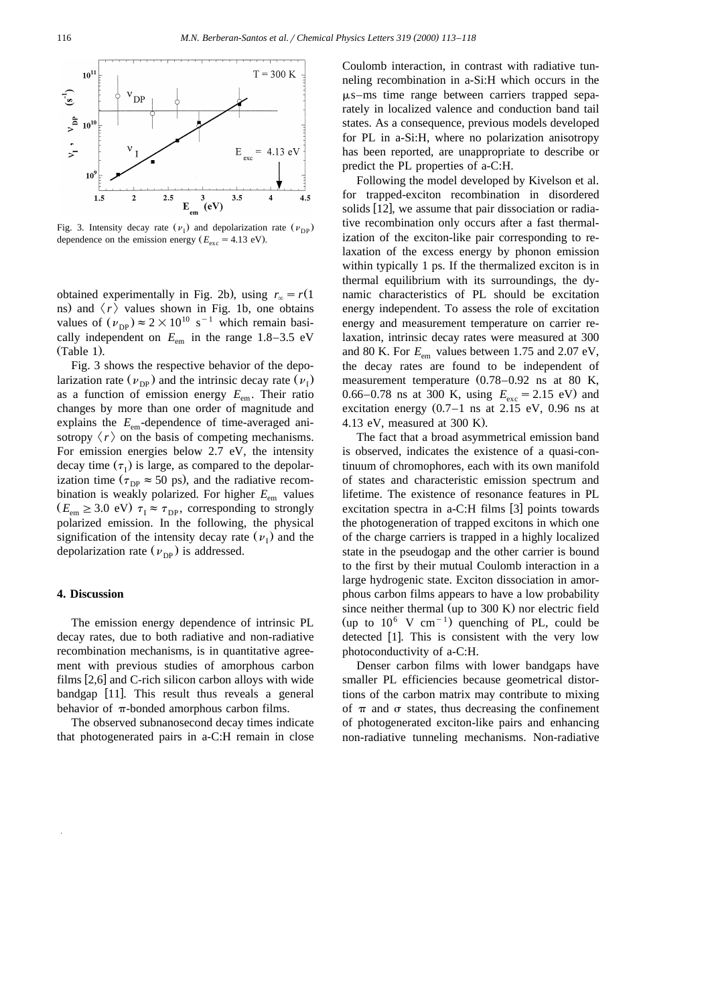

Fig. 3. Intensity decay rate  $(\nu_{\rm D})$  and depolarization rate  $(\nu_{\rm DD})$ dependence on the emission energy  $(E_{\text{exc}} = 4.13 \text{ eV})$ .

obtained experimentally in Fig. 2b), using  $r_\infty = r(1)$ ns) and  $\langle r \rangle$  values shown in Fig. 1b, one obtains values of  $(\nu_{\text{DP}}) \approx 2 \times 10^{10} \text{ s}^{-1}$  which remain basically independent on  $E_{em}$  in the range 1.8–3.5 eV  $(Table 1)$ .

Fig. 3 shows the respective behavior of the depolarization rate  $(\nu_{\text{DP}})$  and the intrinsic decay rate  $(\nu_{\text{I}})$ as a function of emission energy *E*em. Their ratio changes by more than one order of magnitude and explains the  $E_{em}$ -dependence of time-averaged anisotropy  $\langle r \rangle$  on the basis of competing mechanisms. For emission energies below 2.7 eV, the intensity decay time  $(\tau_1)$  is large, as compared to the depolarization time ( $\tau_{DP} \approx 50$  ps), and the radiative recombination is weakly polarized. For higher  $E_{\text{em}}$  values  $(E_{em} \geq 3.0 \text{ eV}) \tau_{I} \approx \tau_{DP}$ , corresponding to strongly polarized emission. In the following, the physical signification of the intensity decay rate  $(\nu_{\rm I})$  and the depolarization rate  $(\nu_{\text{DP}})$  is addressed.

## **4. Discussion**

The emission energy dependence of intrinsic PL decay rates, due to both radiative and non-radiative recombination mechanisms, is in quantitative agreement with previous studies of amorphous carbon films  $[2,6]$  and C-rich silicon carbon alloys with wide bandgap [11]. This result thus reveals a general behavior of  $\pi$ -bonded amorphous carbon films.

The observed subnanosecond decay times indicate that photogenerated pairs in a-C:H remain in close

Coulomb interaction, in contrast with radiative tunneling recombination in a-Si:H which occurs in the  $\mu$ s–ms time range between carriers trapped separately in localized valence and conduction band tail states. As a consequence, previous models developed for PL in a-Si:H, where no polarization anisotropy has been reported, are unappropriate to describe or predict the PL properties of a-C:H.

Following the model developed by Kivelson et al. for trapped-exciton recombination in disordered solids  $[12]$ , we assume that pair dissociation or radiative recombination only occurs after a fast thermalization of the exciton-like pair corresponding to relaxation of the excess energy by phonon emission within typically 1 ps. If the thermalized exciton is in thermal equilibrium with its surroundings, the dynamic characteristics of PL should be excitation energy independent. To assess the role of excitation energy and measurement temperature on carrier relaxation, intrinsic decay rates were measured at 300 and 80 K. For  $E_{\text{em}}$  values between 1.75 and 2.07 eV, the decay rates are found to be independent of measurement temperature  $(0.78-0.92$  ns at 80 K, 0.66–0.78 ns at 300 K, using  $E_{\text{exc}} = 2.15 \text{ eV}$  and excitation energy  $(0.7-1 \text{ ns at } 2.15 \text{ eV}, 0.96 \text{ ns at }$ 4.13 eV, measured at  $300$  K).

The fact that a broad asymmetrical emission band is observed, indicates the existence of a quasi-continuum of chromophores, each with its own manifold of states and characteristic emission spectrum and lifetime. The existence of resonance features in PL excitation spectra in a-C:H films  $[3]$  points towards the photogeneration of trapped excitons in which one of the charge carriers is trapped in a highly localized state in the pseudogap and the other carrier is bound to the first by their mutual Coulomb interaction in a large hydrogenic state. Exciton dissociation in amorphous carbon films appears to have a low probability since neither thermal (up to  $300 \text{ K}$ ) nor electric field (up to  $10^6$  V cm<sup>-1</sup>) quenching of PL, could be detected  $[1]$ . This is consistent with the very low photoconductivity of a-C:H.

Denser carbon films with lower bandgaps have smaller PL efficiencies because geometrical distortions of the carbon matrix may contribute to mixing of  $\pi$  and  $\sigma$  states, thus decreasing the confinement of photogenerated exciton-like pairs and enhancing non-radiative tunneling mechanisms. Non-radiative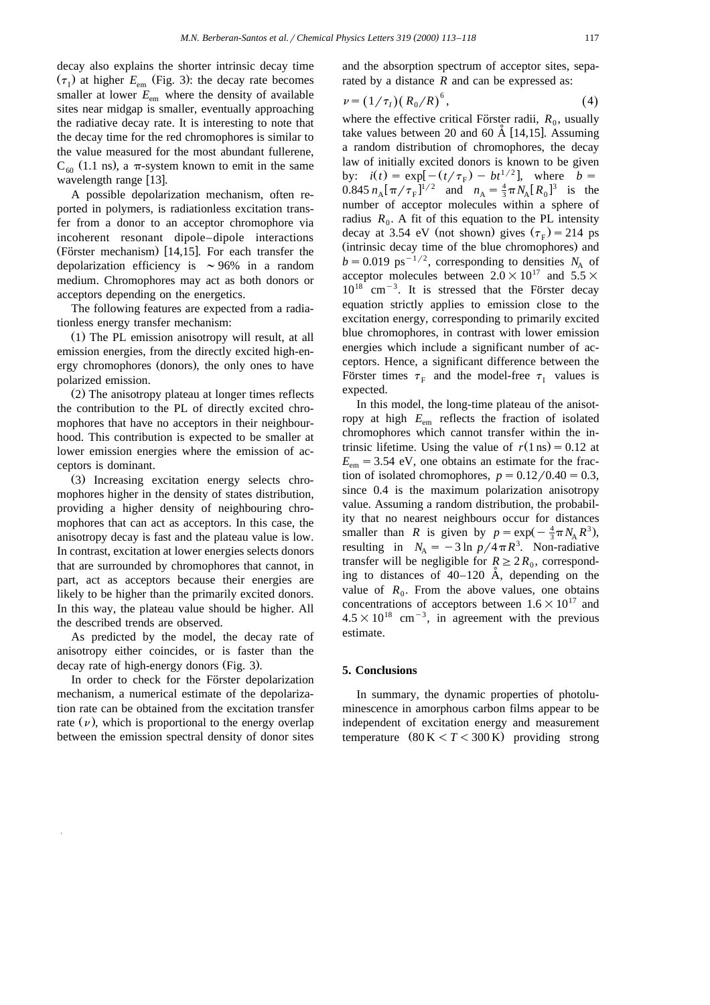decay also explains the shorter intrinsic decay time  $(\tau_I)$  at higher  $E_{em}$  (Fig. 3): the decay rate becomes smaller at lower  $E_{em}$  where the density of available sites near midgap is smaller, eventually approaching the radiative decay rate. It is interesting to note that the decay time for the red chromophores is similar to the value measured for the most abundant fullerene,  $C_{60}$  (1.1 ns), a  $\pi$ -system known to emit in the same wavelength range  $[13]$ .

A possible depolarization mechanism, often reported in polymers, is radiationless excitation transfer from a donor to an acceptor chromophore via incoherent resonant dipole–dipole interactions  $(Förster mechanism)$  [14,15]. For each transfer the depolarization efficiency is  $\sim$  96% in a random medium. Chromophores may act as both donors or acceptors depending on the energetics.

The following features are expected from a radiationless energy transfer mechanism:

 $(1)$  The PL emission anisotropy will result, at all emission energies, from the directly excited high-energy chromophores (donors), the only ones to have polarized emission.

 $(2)$  The anisotropy plateau at longer times reflects the contribution to the PL of directly excited chromophores that have no acceptors in their neighbourhood. This contribution is expected to be smaller at lower emission energies where the emission of acceptors is dominant.

(3) Increasing excitation energy selects chromophores higher in the density of states distribution, providing a higher density of neighbouring chromophores that can act as acceptors. In this case, the anisotropy decay is fast and the plateau value is low. In contrast, excitation at lower energies selects donors that are surrounded by chromophores that cannot, in part, act as acceptors because their energies are likely to be higher than the primarily excited donors. In this way, the plateau value should be higher. All the described trends are observed.

As predicted by the model, the decay rate of anisotropy either coincides, or is faster than the decay rate of high-energy donors (Fig. 3).

In order to check for the Förster depolarization mechanism, a numerical estimate of the depolarization rate can be obtained from the excitation transfer rate  $(\nu)$ , which is proportional to the energy overlap between the emission spectral density of donor sites and the absorption spectrum of acceptor sites, separated by a distance *R* and can be expressed as:

$$
\nu = (1/\tau_I) (R_0/R)^6, \tag{4}
$$

where the effective critical Förster radii,  $R_0$ , usually take values between 20 and 60  $\AA$  [14,15]. Assuming a random distribution of chromophores, the decay law of initially excited donors is known to be given by:  $i(t) = \exp[-(t/\tau_F) - bt^{1/2}]$ , where  $b = 0.845 n_A [\pi/\tau_F]^{1/2}$  and  $n_A = \frac{4}{3} \pi N_A [R_0]^{3}$  is the number of acceptor molecules within a sphere of radius  $R_0$ . A fit of this equation to the PL intensity decay at 3.54 eV (not shown) gives  $(\tau_{\rm F})$  = 214 ps (intrinsic decay time of the blue chromophores) and  $b = 0.019$  ps<sup>-1/2</sup>, corresponding to densities *N*<sub>A</sub> of acceptor molecules between  $2.0\times10^{17}$  and  $5.5\times$  $10^{18}$  cm<sup>-3</sup>. It is stressed that the Förster decay equation strictly applies to emission close to the excitation energy, corresponding to primarily excited blue chromophores, in contrast with lower emission energies which include a significant number of acceptors. Hence, a significant difference between the Förster times  $\tau_F$  and the model-free  $\tau_I$  values is expected.

In this model, the long-time plateau of the anisotropy at high  $E_{em}$  reflects the fraction of isolated chromophores which cannot transfer within the intrinsic lifetime. Using the value of  $r(1 \text{ ns}) = 0.12$  at  $E_{\text{em}} = 3.54$  eV, one obtains an estimate for the fraction of isolated chromophores,  $p = 0.12/0.40 = 0.3$ , since 0.4 is the maximum polarization anisotropy value. Assuming a random distribution, the probability that no nearest neighbours occur for distances smaller than *R* is given by  $p = \exp(-\frac{4}{3}\pi N_A R^3)$ , resulting in  $N_A = -3 \ln p / 4 \pi R^3$ . Non-radiative transfer will be negligible for  $R \geq 2R_0$ , corresponding to distances of  $40-120$  A, depending on the value of  $R_0$ . From the above values, one obtains concentrations of acceptors between  $1.6\times10^{17}$  and  $4.5\times10^{18}$  cm<sup>-3</sup>, in agreement with the previous estimate.

## **5. Conclusions**

In summary, the dynamic properties of photoluminescence in amorphous carbon films appear to be independent of excitation energy and measurement temperature  $(80 \text{ K} < T < 300 \text{ K})$  providing strong